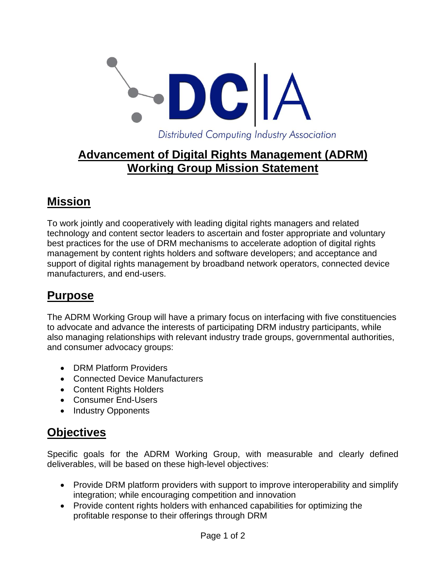

### **Advancement of Digital Rights Management (ADRM) Working Group Mission Statement**

## **Mission**

To work jointly and cooperatively with leading digital rights managers and related technology and content sector leaders to ascertain and foster appropriate and voluntary best practices for the use of DRM mechanisms to accelerate adoption of digital rights management by content rights holders and software developers; and acceptance and support of digital rights management by broadband network operators, connected device manufacturers, and end-users.

## **Purpose**

The ADRM Working Group will have a primary focus on interfacing with five constituencies to advocate and advance the interests of participating DRM industry participants, while also managing relationships with relevant industry trade groups, governmental authorities, and consumer advocacy groups:

- DRM Platform Providers
- Connected Device Manufacturers
- Content Rights Holders
- Consumer End-Users
- Industry Opponents

## **Objectives**

Specific goals for the ADRM Working Group, with measurable and clearly defined deliverables, will be based on these high-level objectives:

- Provide DRM platform providers with support to improve interoperability and simplify integration; while encouraging competition and innovation
- Provide content rights holders with enhanced capabilities for optimizing the profitable response to their offerings through DRM